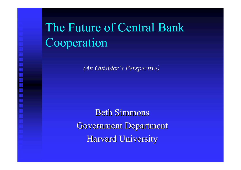# The Future of Central Bank Cooperation

*(An Outsider's Perspective)*

**Beth Simmons** Government Department Harvard University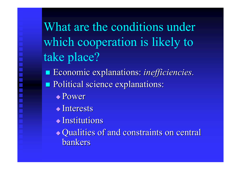What are the conditions under which cooperation is likely to take place?

- **Economic explanations:** *inefficiencies*.
- Political science explanations: Political science explanations:
	- Power
	- $\blacklozenge$ Interests
	- $\overline{\blacklozenge}$  Institutions
	- Qualities of and constraints on central Qualities of and constraints on central bankers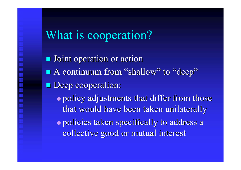## What is cooperation?

**Joint operation or action** ■ A continuum from "shallow" to "deep" **Deep cooperation:**  $\rightarrow$  policy adjustments that differ from those that would have been taken unilaterally  $\rightarrow$  policies taken specifically to address a collective good or mutual interest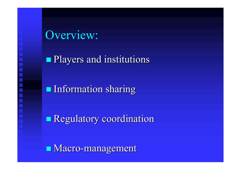Overview:

**Players and institutions** 

**Information sharing** 

**Regulatory coordination** 

**Macro-management**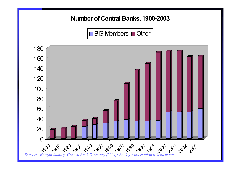#### **Number of Central Banks, 1900-2003**





*Source: Morgan Stanley, Central Bank Directory (2004); Bank for International Settlements*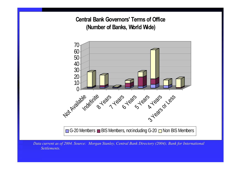**Central Bank Governors' Terms of Office (Number of Banks, World Wide)**



G-20 Members  $\blacksquare$  BIS Members, not including G-20  $\blacksquare$  Non BIS Members

*Data current as of 2004. Source: Morgan Stanley, Central Bank Directory (2004); Bank for International Settlements.*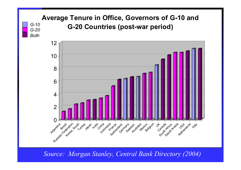### **Average Tenure in Office, Governors of G-10 and G-20 Countries (post-war period)** *G-10 G-20*

 $G-20$ 

*Both*



*Source: Morgan Stanley, Central Bank Directory (2004)*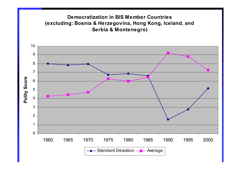#### **Democratization in BIS Member Countries(excluding: Bosnia & Herzegovina, Hong Kong, Iceland, and Serbia & Montenegro)**

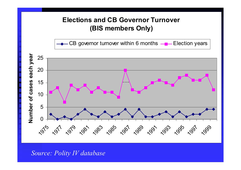### **Elections and CB Governor Turnover (BIS members Only)**

CB governor turnover within 6 months  $-\blacksquare$  Election years



*Source: Polity IV database*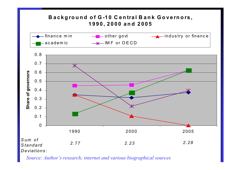#### **B <sup>a</sup> <sup>c</sup> k g round of G-1 0 C <sup>e</sup> <sup>n</sup> tra l B <sup>a</sup> <sup>n</sup> k G <sup>o</sup> <sup>v</sup> <sup>e</sup> rnors , 1990, 2000 an d 2005**



*Source: Author's research; internet and various biographical sources*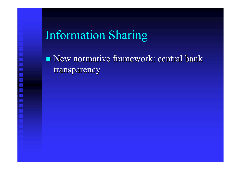## Information Sharing

 $\blacksquare$  New normative framework: central bank transparency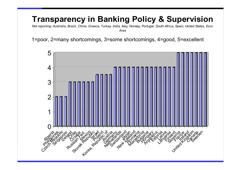### **Transparency in Banking Policy & Supervision**

*Not reporting: Australia, Brazil, China, Greece, Turkey, India, Italy, Norway, Portugal, South Africa, Spain, United States, Euro Area*

1=poor, 2=many shortcomings, 3=some shortcomings, 4=good, 5=excellent

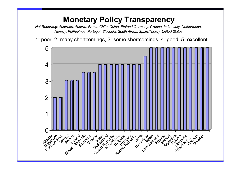### **Monetary Policy Transparency**

*Not Reporting: Australia, Austria, Brazil, Chile, China, Finland,Germany, Greece, India, Italy, Netherlands, Norway, Philippines, Portugal, Slovenia, South Africa, Spain,Turkey, United States*

1=poor, 2=many shortcomings, 3=some shortcomings, 4=good, 5=excellent

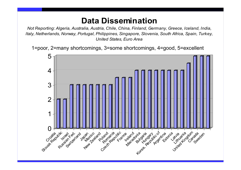### **Data Dissemination**

*Not Reporting: Algeria, Australia, Austria, Chile, China, Finland, Germany, Greece, Iceland, India, Italy, Netherlands, Norway, Portugal, Philippines, Singapore, Slovenia, South Africa, Spain, Turkey, United States, Euro Area*

1=poor, 2=many shortcomings, 3=some shortcomings, 4=good, 5=excellent

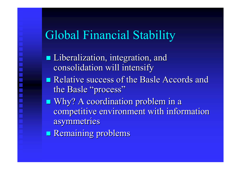## Global Financial Stability

- **Liberalization, integration, and** consolidation will intensify
- **Relative success of the Basle Accords and Relative success of the Basle Accords and** the Basle "process"
- **Nhy?** A coordination problem in a competitive environment with information asymmetries asymmetries
- **Remaining problems**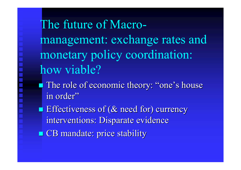The future of Macromanagement: exchange rates and monetary policy coordination: how viable?

**The role of economic theory: "one's house** in order"

**Effectiveness of (& need for) currency** interventions: Disparate evidence

**CB** mandate: price stability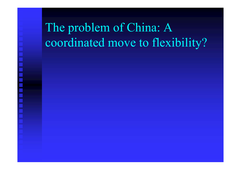# The problem of China: A coordinated move to flexibility?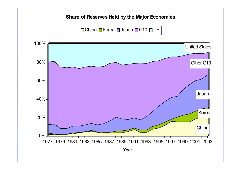#### **Share of Reserves Held by the Major Economies**



**Year**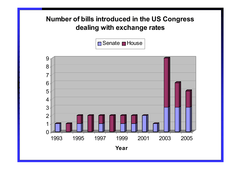### **Number of bills introduced in the US Congress dealing with exchange rates**





**Year**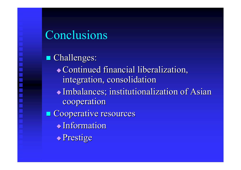## Conclusions

**Challenges:** Continued financial liberalization, Continued financial liberalization, integration, consolidation  $\blacklozenge$  Imbalances; institutionalization of Asian cooperation  $\blacksquare$  Cooperative resources  $\blacklozenge$  Information  $\blacktriangleright$  Prestige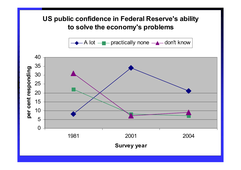### **US public confidence in Federal Reserve's ability to solve the economy's problems**

A lotpractically none don't know

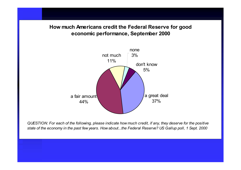#### **How much Americans credit the Federal Reserve for good economic performance, September 2000**



*QUESTION: For each of the following, please indicate how much credit, if any, they deserve for the positive state of the economy in the past few years. How about...the Federal Reserve? US Gallup poll, 1 Sept. 2000*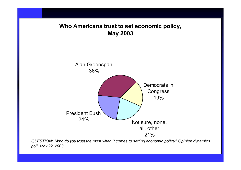#### **Who Americans trust to set economic policy, May 2003**



*QUESTION: Who do you trust the most when it comes to setting economic policy? Opinion dynamics poll, May 22, 2003*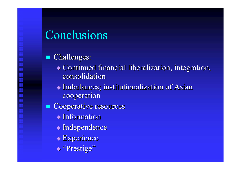## Conclusions

#### Challenges:

- $\bullet$  Continued financial liberalization, integration, consolidation
- $\blacklozenge$  Imbalances; institutionalization of Asian cooperation
- $\blacksquare$  Cooperative resources
	- $\blacklozenge$  Information
	- $\blacklozenge$ Independence
	- $\blacklozenge$  Experience
	- ◆ "Prestige"